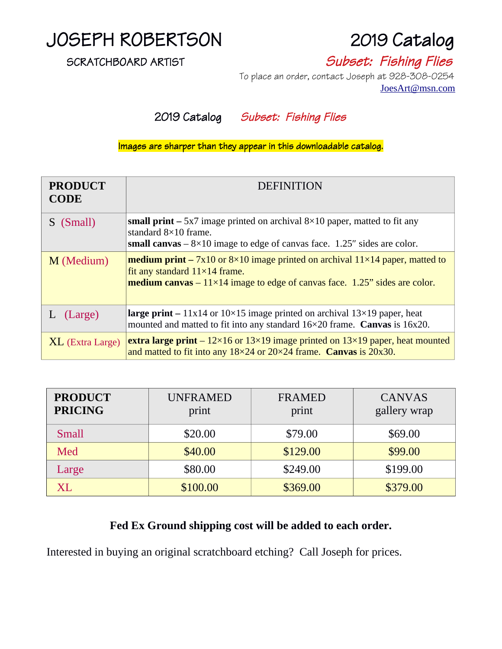# JOSEPH ROBERTSON 2019 Catalog

SCRATCHBOARD ARTIST SUBSET: Fishing Flies

 To place an order, contact Joseph at 928-308-0254 [JoesArt@msn.com](mailto:JoesArt@msn.com)

2019 Catalog Subset: Fishing Flies

Images are sharper than they appear in this downloadable catalog.

| <b>PRODUCT</b><br><b>CODE</b> | <b>DEFINITION</b>                                                                                                                                                                                                               |
|-------------------------------|---------------------------------------------------------------------------------------------------------------------------------------------------------------------------------------------------------------------------------|
| S (Small)                     | small print $-$ 5x7 image printed on archival $8\times10$ paper, matted to fit any<br>standard $8\times10$ frame.<br>small canvas $-8\times10$ image to edge of canvas face. 1.25" sides are color.                             |
| M (Medium)                    | <b>medium print</b> – $7x10$ or $8\times10$ image printed on archival $11\times14$ paper, matted to<br>fit any standard 11×14 frame.<br><b>medium canvas</b> $-11\times14$ image to edge of canvas face. 1.25" sides are color. |
| (Large)                       | <b>large print</b> – $11x14$ or $10\times15$ image printed on archival $13\times19$ paper, heat<br>mounted and matted to fit into any standard 16×20 frame. Canvas is 16x20.                                                    |
| <b>XL</b> (Extra Large)       | <b>extra large print</b> – $12 \times 16$ or $13 \times 19$ image printed on $13 \times 19$ paper, heat mounted<br>and matted to fit into any $18\times24$ or $20\times24$ frame. Canvas is $20x30$ .                           |

| <b>PRODUCT</b><br><b>PRICING</b> | <b>UNFRAMED</b><br>print | <b>FRAMED</b><br>print | <b>CANVAS</b><br>gallery wrap |
|----------------------------------|--------------------------|------------------------|-------------------------------|
| <b>Small</b>                     | \$20.00                  | \$79.00                | \$69.00                       |
| Med                              | \$40.00                  | \$129.00               | \$99.00                       |
| Large                            | \$80.00                  | \$249.00               | \$199.00                      |
| X <sub>L</sub>                   | \$100.00                 | \$369.00               | \$379.00                      |

### **Fed Ex Ground shipping cost will be added to each order.**

Interested in buying an original scratchboard etching? Call Joseph for prices.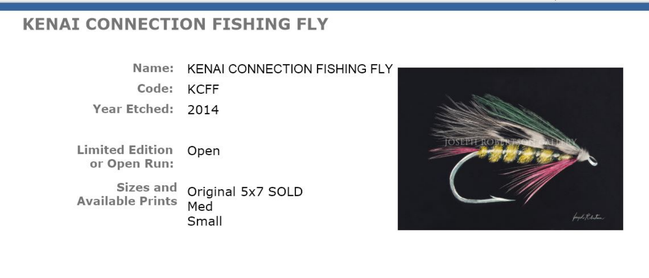## **KENAI CONNECTION FISHING FLY**

Name: KENAI CONNECTION FISHING FLY Code: KCFF Year Etched: 2014

**Limited Edition** Open or Open Run:

Sizes and Original 5x7 SOLD **Available Prints** Med Small

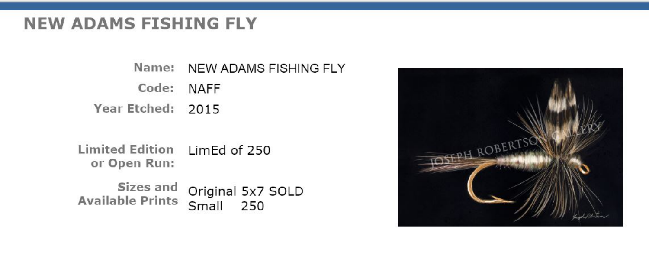## **NEW ADAMS FISHING FLY**

Name: NEW ADAMS FISHING FLY Code: NAFF Year Etched: 2015

Limited Edition LimEd of 250 or Open Run:

Sizes and Original 5x7 SOLD Available Prints Small 250

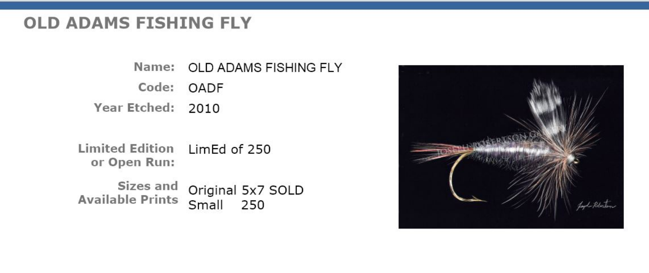# **OLD ADAMS FISHING FLY**

Name: OLD ADAMS FISHING FLY Code: OADF Year Etched: 2010

Limited Edition LimEd of 250 or Open Run:

Sizes and Original 5x7 SOLD Available Prints Small 250

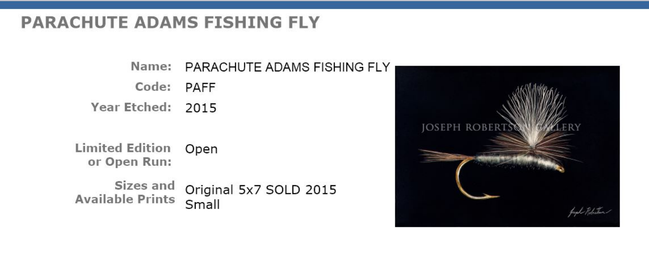# **PARACHUTE ADAMS FISHING FLY**

Name: PARACHUTE ADAMS FISHING FLY Code: PAFF Year Etched: 2015

**Limited Edition** Open or Open Run:

Sizes and Original 5x7 SOLD 2015 **Available Prints** Small

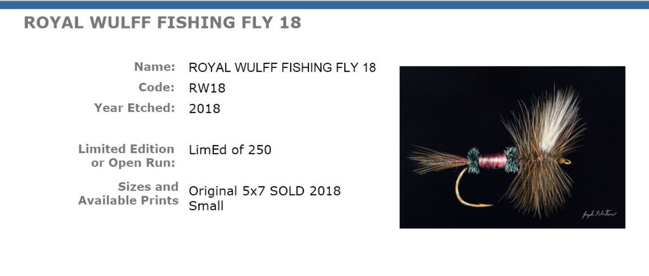## **ROYAL WULFF FISHING FLY 18**

Name: ROYAL WULFF FISHING FLY 18 Code: RW18 Year Etched: 2018

Limited Edition LimEd of 250 or Open Run:

Sizes and Original 5x7 SOLD 2018 **Available Prints** Small